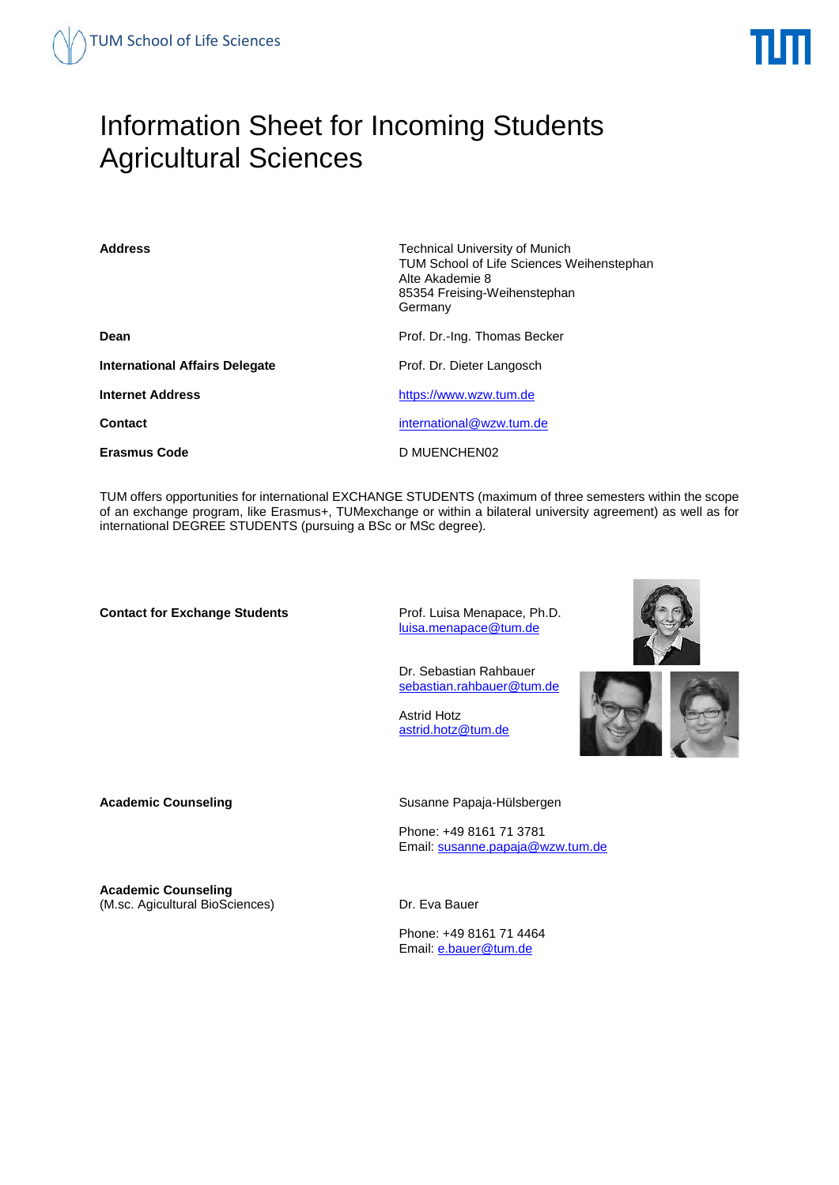# Information Sheet for Incoming Students Agricultural Sciences

| <b>Address</b>                        | <b>Technical University of Munich</b><br><b>TUM School of Life Sciences Weihenstephan</b><br>Alte Akademie 8<br>85354 Freising-Weihenstephan<br>Germany |  |
|---------------------------------------|---------------------------------------------------------------------------------------------------------------------------------------------------------|--|
| Dean                                  | Prof. Dr.-Ing. Thomas Becker                                                                                                                            |  |
| <b>International Affairs Delegate</b> | Prof. Dr. Dieter Langosch                                                                                                                               |  |
| <b>Internet Address</b>               | https://www.wzw.tum.de                                                                                                                                  |  |
| Contact                               | international@wzw.tum.de                                                                                                                                |  |
| <b>Erasmus Code</b>                   | D MUENCHEN02                                                                                                                                            |  |

TUM offers opportunities for international EXCHANGE STUDENTS (maximum of three semesters within the scope of an exchange program, like Erasmus+, TUMexchange or within a bilateral university agreement) as well as for international DEGREE STUDENTS (pursuing a BSc or MSc degree).

**Contact for Exchange Students** Prof. Luisa Menapace, Ph.D.

[luisa.menapace@tum.de](mailto:luisa.menapace%40tum.de)

Dr. Sebastian Rahbauer sebastian.rahbauer@tum.de

 Astrid Hotz [astrid.hotz@tum.de](mailto:astrid.hotz%40tum.de)



Academic Counseling **Counseling** Susanne Papaja-Hülsbergen

Phone: +49 8161 71 3781 Email: [susanne.papaja@wzw.tum.de](mailto:susanne.papaja@wzw.tum.de)

**Academic Counseling**  (M.sc. Agicultural BioSciences) Dr. Eva Bauer

Phone: +49 8161 71 4464 Email: [e.bauer@tum.de](mailto:e.bauer@tum.de)